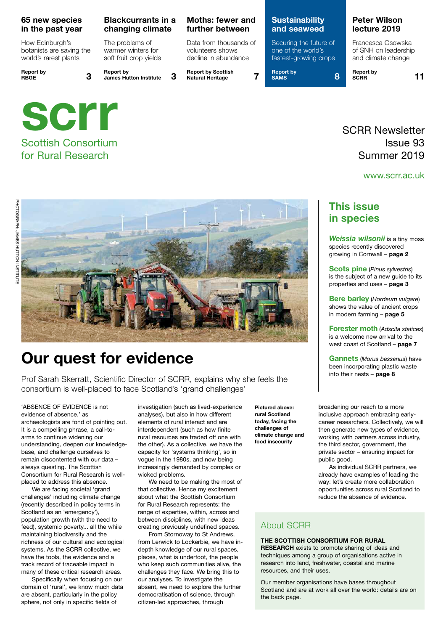#### **65 new species in the past year**

How Edinburgh's botanists are saving the world's rarest plants

**Report by RBGE 3**

#### **Blackcurrants in a changing climate**

The problems of warmer winters for soft fruit crop yields

**Report by James Hutton Institute 3**



### for Rural Research

### **Moths: fewer and further between**

Data from thousands of volunteers shows decline in abundance

**Report by Scottish Natural Heritage 7**

#### **Sustainability and seaweed**

Securing the future of one of the world's fastest-growing crops

**Report by SAMS 8**  **Report by SCRR 11**

**Peter Wilson lecture 2019** Francesca Osowska of SNH on leadership and climate change

### SCRR Newsletter Issue 93 Summer 2019

#### www.scrr.ac.uk



## **Our quest for evidence**

Prof Sarah Skerratt, Scientific Director of SCRR, explains why she feels the consortium is well-placed to face Scotland's 'grand challenges'

'ABSENCE OF EVIDENCE is not evidence of absence,' as archaeologists are fond of pointing out. It is a compelling phrase, a call-toarms to continue widening our understanding, deepen our knowledgebase, and challenge ourselves to remain discontented with our data – always questing. The Scottish Consortium for Rural Research is wellplaced to address this absence.

We are facing societal 'grand challenges' including climate change (recently described in policy terms in Scotland as an 'emergency'), population growth (with the need to feed), systemic poverty... all the while maintaining biodiversity and the richness of our cultural and ecological systems. As the SCRR collective, we have the tools, the evidence and a track record of traceable impact in many of these critical research areas.

Specifically when focusing on our domain of 'rural', we know much data are absent, particularly in the policy sphere, not only in specific fields of

investigation (such as lived-experience analyses), but also in how different elements of rural interact and are interdependent (such as how finite rural resources are traded off one with the other). As a collective, we have the capacity for 'systems thinking', so in vogue in the 1980s, and now being increasingly demanded by complex or wicked problems.

We need to be making the most of that collective. Hence my excitement about what the Scottish Consortium for Rural Research represents: the range of expertise, within, across and between disciplines, with new ideas creating previously undefined spaces.

From Stornoway to St Andrews, from Lerwick to Lockerbie, we have indepth knowledge of our rural spaces, places, what is underfoot, the people who keep such communities alive, the challenges they face. We bring this to our analyses. To investigate the absent, we need to explore the further democratisation of science, through citizen-led approaches, through

**Pictured above: rural Scotland today, facing the challenges of climate change and food insecurity**

**This issue** 

**in species**

*Weissia wilsonii* is a tiny moss species recently discovered growing in Cornwall – **page 2**

**Scots pine** (*Pinus sylvestris*) is the subject of a new guide to its properties and uses – **page 3**

**Bere barley** (*Hordeum vulgare*) shows the value of ancient crops in modern farming – **page 5**

**Forester moth** (*Adscita statices*) is a welcome new arrival to the west coast of Scotland – **page 7**

**Gannets** (*Morus bassanus*) have been incorporating plastic waste into their nests – **page 8**

broadening our reach to a more inclusive approach embracing earlycareer researchers. Collectively, we will then generate new types of evidence, working with partners across industry, the third sector, government, the private sector – ensuring impact for public good.

As individual SCRR partners, we already have examples of leading the way: let's create more collaboration opportunities across rural Scotland to reduce the absence of evidence.

#### About SCRR

#### **THE SCOTTISH CONSORTIUM FOR RURAL**

**RESEARCH** exists to promote sharing of ideas and techniques among a group of organisations active in research into land, freshwater, coastal and marine resources, and their uses.

Our member organisations have bases throughout Scotland and are at work all over the world: details are on the back page.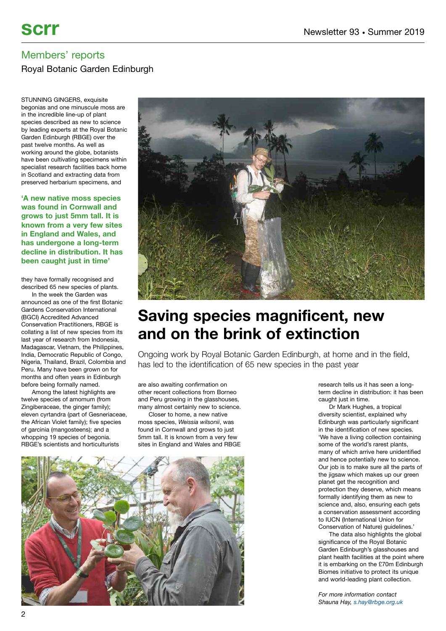### Royal Botanic Garden Edinburgh

STUNNING GINGERS, exquisite begonias and one minuscule moss are in the incredible line-up of plant species described as new to science by leading experts at the Royal Botanic Garden Edinburgh (RBGE) over the past twelve months. As well as working around the globe, botanists have been cultivating specimens within specialist research facilities back home in Scotland and extracting data from preserved herbarium specimens, and

**'A new native moss species was found in Cornwall and grows to just 5mm tall. It is known from a very few sites in England and Wales, and has undergone a long-term decline in distribution. It has been caught just in time'**

they have formally recognised and described 65 new species of plants.

In the week the Garden was announced as one of the first Botanic Gardens Conservation International (BGCI) Accredited Advanced Conservation Practitioners, RBGE is collating a list of new species from its last year of research from Indonesia, Madagascar, Vietnam, the Philippines, India, Democratic Republic of Congo, Nigeria, Thailand, Brazil, Colombia and Peru. Many have been grown on for months and often years in Edinburgh before being formally named.

Among the latest highlights are twelve species of amomum (from Zingiberaceae, the ginger family); eleven cyrtandra (part of Gesneriaceae, the African Violet family); five species of garcinia (mangosteens); and a whopping 19 species of begonia. RBGE's scientists and horticulturists



# **Saving species magnificent, new and on the brink of extinction**

Ongoing work by Royal Botanic Garden Edinburgh, at home and in the field, has led to the identification of 65 new species in the past year

are also awaiting confirmation on other recent collections from Borneo and Peru growing in the glasshouses, many almost certainly new to science.

Closer to home, a new native moss species, *Weissia wilsonii*, was found in Cornwall and grows to just 5mm tall. It is known from a very few sites in England and Wales and RBGE



research tells us it has seen a longterm decline in distribution: it has been caught just in time.

Dr Mark Hughes, a tropical diversity scientist, explained why Edinburgh was particularly significant in the identification of new species. 'We have a living collection containing some of the world's rarest plants, many of which arrive here unidentified and hence potentially new to science. Our job is to make sure all the parts of the jigsaw which makes up our green planet get the recognition and protection they deserve, which means formally identifying them as new to science and, also, ensuring each gets a conservation assessment according to IUCN (International Union for Conservation of Nature) guidelines.'

The data also highlights the global significance of the Royal Botanic Garden Edinburgh's glasshouses and plant health facilities at the point where it is embarking on the £70m Edinburgh Biomes initiative to protect its unique and world-leading plant collection.

*For more information contact Shauna Hay, [s.hay@rbge.org.uk](mailto:s.hay@rbge.org.uk)*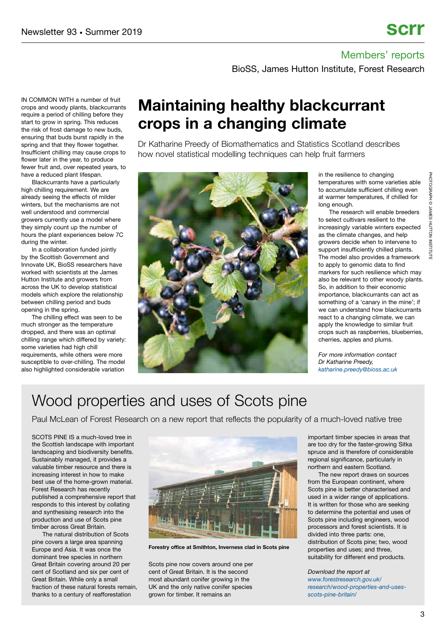BioSS, James Hutton Institute, Forest Research

IN COMMON WITH a number of fruit crops and woody plants, blackcurrants require a period of chilling before they start to grow in spring. This reduces the risk of frost damage to new buds, ensuring that buds burst rapidly in the spring and that they flower together. Insufficient chilling may cause crops to flower later in the year, to produce fewer fruit and, over repeated years, to have a reduced plant lifespan.

Blackcurrants have a particularly high chilling requirement. We are already seeing the effects of milder winters, but the mechanisms are not well understood and commercial growers currently use a model where they simply count up the number of hours the plant experiences below 7C during the winter.

In a collaboration funded jointly by the Scottish Government and Innovate UK, BioSS researchers have worked with scientists at the James Hutton Institute and growers from across the UK to develop statistical models which explore the relationship between chilling period and buds opening in the spring.

The chilling effect was seen to be much stronger as the temperature dropped, and there was an optimal chilling range which differed by variety: some varieties had high chill requirements, while others were more susceptible to over-chilling. The model also highlighted considerable variation

## **Maintaining healthy blackcurrant crops in a changing climate**

Dr Katharine Preedy of Biomathematics and Statistics Scotland describes how novel statistical modelling techniques can help fruit farmers



in the resilience to changing temperatures with some varieties able to accumulate sufficient chilling even at warmer temperatures, if chilled for long enough.

The research will enable breeders to select cultivars resilient to the increasingly variable winters expected as the climate changes, and help growers decide when to intervene to support insufficiently chilled plants. The model also provides a framework to apply to genomic data to find markers for such resilience which may also be relevant to other woody plants. So, in addition to their economic importance, blackcurrants can act as something of a 'canary in the mine'; if we can understand how blackcurrants react to a changing climate, we can apply the knowledge to similar fruit crops such as raspberries, blueberries, cherries, apples and plums.

*For more information contact Dr Katharine Preedy, [katharine.preedy@bioss.ac.uk](mailto:katharine.preedy@bioss.ac.uk)*

# Wood properties and uses of Scots pine

Paul McLean of Forest Research on a new report that reflects the popularity of a much-loved native tree

SCOTS PINE IS a much-loved tree in the Scottish landscape with important landscaping and biodiversity benefits. Sustainably managed, it provides a valuable timber resource and there is increasing interest in how to make best use of the home-grown material. Forest Research has recently published a comprehensive report that responds to this interest by collating and synthesising research into the production and use of Scots pine timber across Great Britain.

The natural distribution of Scots pine covers a large area spanning Europe and Asia. It was once the dominant tree species in northern Great Britain covering around 20 per cent of Scotland and six per cent of Great Britain. While only a small fraction of these natural forests remain, thanks to a century of reafforestation



**Forestry office at Smithton, Inverness clad in Scots pine**

Scots pine now covers around one per cent of Great Britain. It is the second most abundant conifer growing in the UK and the only native conifer species grown for timber. It remains an

important timber species in areas that are too dry for the faster-growing Sitka spruce and is therefore of considerable regional significance, particularly in northern and eastern Scotland.

The new report draws on sources from the European continent, where Scots pine is better characterised and used in a wider range of applications. It is written for those who are seeking to determine the potential end uses of Scots pine including engineers, wood processors and forest scientists. It is divided into three parts: one, distribution of Scots pine; two, wood properties and uses; and three, suitability for different end products.

*Download the report at [www.forestresearch.gov.uk/](https://www.forestresearch.gov.uk/research/wood-properties-and-uses-scots-pine-britain/) [research/wood-properties-and-uses](https://www.forestresearch.gov.uk/research/wood-properties-and-uses-scots-pine-britain/)[scots-pine-britain/](https://www.forestresearch.gov.uk/research/wood-properties-and-uses-scots-pine-britain/)*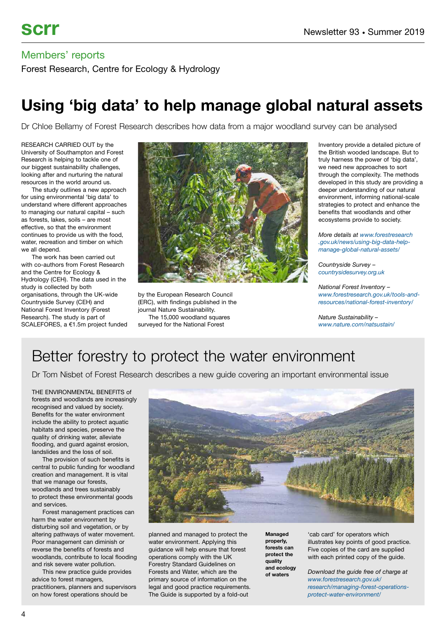Forest Research, Centre for Ecology & Hydrology

## **Using 'big data' to help manage global natural assets**

Dr Chloe Bellamy of Forest Research describes how data from a major woodland survey can be analysed

RESEARCH CARRIED OUT by the University of Southampton and Forest Research is helping to tackle one of our biggest sustainability challenges, looking after and nurturing the natural resources in the world around us.

The study outlines a new approach for using environmental 'big data' to understand where different approaches to managing our natural capital – such as forests, lakes, soils – are most effective, so that the environment continues to provide us with the food, water, recreation and timber on which we all depend.

The work has been carried out with co-authors from Forest Research and the Centre for Ecology & Hydrology (CEH). The data used in the study is collected by both organisations, through the UK-wide Countryside Survey (CEH) and National Forest Inventory (Forest Research). The study is part of SCALEFORES, a €1.5m project funded



by the European Research Council (ERC), with findings published in the journal Nature Sustainability. The 15,000 woodland squares surveyed for the National Forest

Inventory provide a detailed picture of the British wooded landscape. But to truly harness the power of 'big data', we need new approaches to sort through the complexity. The methods developed in this study are providing a deeper understanding of our natural environment, informing national-scale strategies to protect and enhance the benefits that woodlands and other ecosystems provide to society.

*More details at [www.forestresearch](https://www.forestresearch.gov.uk/news/using-big-data-help-manage-global-natural-assets/) [.gov.uk/news/using-big-data-help](https://www.forestresearch.gov.uk/news/using-big-data-help-manage-global-natural-assets/)[manage-global-natural-assets/](https://www.forestresearch.gov.uk/news/using-big-data-help-manage-global-natural-assets/)*

*Countryside Survey – [countrysidesurvey.org.uk](https://countrysidesurvey.org.uk)*

*National Forest Inventory – [www.forestresearch.gov.uk/tools-and](https://www.forestresearch.gov.uk/tools-and-resources/national-forest-inventory/)[resources/national-forest-inventory/](https://www.forestresearch.gov.uk/tools-and-resources/national-forest-inventory/)*

*Nature Sustainability – [www.nature.com/natsustain/](https://www.nature.com/natsustain/)*

# Better forestry to protect the water environment

Dr Tom Nisbet of Forest Research describes a new guide covering an important environmental issue

THE ENVIRONMENTAL BENEFITS of forests and woodlands are increasingly recognised and valued by society. Benefits for the water environment include the ability to protect aquatic habitats and species, preserve the quality of drinking water, alleviate flooding, and guard against erosion, landslides and the loss of soil.

The provision of such benefits is central to public funding for woodland creation and management. It is vital that we manage our forests, woodlands and trees sustainably to protect these environmental goods and services.

Forest management practices can harm the water environment by disturbing soil and vegetation, or by altering pathways of water movement. Poor management can diminish or reverse the benefits of forests and woodlands, contribute to local flooding and risk severe water pollution.

This new practice guide provides advice to forest managers, practitioners, planners and supervisors on how forest operations should be



planned and managed to protect the water environment. Applying this guidance will help ensure that forest operations comply with the UK Forestry Standard Guidelines on Forests and Water, which are the primary source of information on the legal and good practice requirements. The Guide is supported by a fold-out

**Managed properly, forests can protect the quality and ecology of waters**

'cab card' for operators which illustrates key points of good practice. Five copies of the card are supplied with each printed copy of the guide.

*Download the guide free of charge at [www.forestresearch.gov.uk/](https://www.forestresearch.gov.uk/research/managing-forest-operations-protect-water-environment/) [research/managing-forest-operations](https://www.forestresearch.gov.uk/research/managing-forest-operations-protect-water-environment/)[protect-water-environment/](https://www.forestresearch.gov.uk/research/managing-forest-operations-protect-water-environment/)*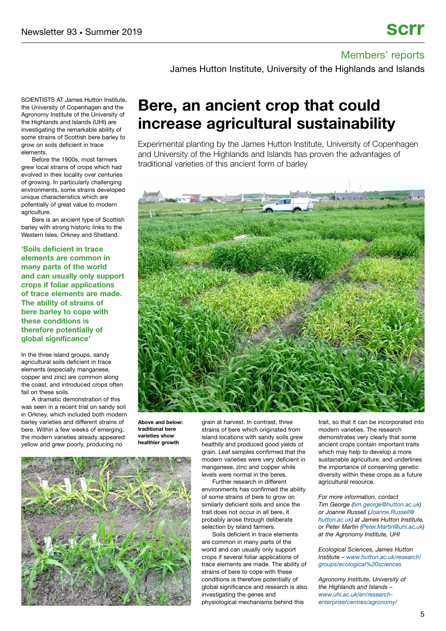James Hutton Institute, University of the Highlands and Islands

SCIENTISTS AT James Hutton Institute, the University of Copenhagen and the Agronomy Institute of the University of the Highlands and Islands (UHI) are investigating the remarkable ability of some strains of Scottish bere barley to grow on soils deficient in trace elements.

Before the 1900s, most farmers grew local strains of crops which had evolved in their locality over centuries of growing. In particularly challenging environments, some strains developed unique characteristics which are potentially of great value to modern agriculture.

Bere is an ancient type of Scottish barley with strong historic links to the Western Isles, Orkney and Shetland.

**'Soils deficient in trace elements are common in many parts of the world and can usually only support crops if foliar applications of trace elements are made. The ability of strains of bere barley to cope with these conditions is therefore potentially of global significance'**

In the three island groups, sandy agricultural soils deficient in trace elements (especially manganese, copper and zinc) are common along the coast, and introduced crops often fail on these soils.

A dramatic demonstration of this was seen in a recent trial on sandy soil in Orkney, which included both modern barley varieties and different strains of bere. Within a few weeks of emerging, the modern varieties already appeared yellow and grew poorly, producing no

## **Bere, an ancient crop that could increase agricultural sustainability**

Experimental planting by the James Hutton Institute, University of Copenhagen and University of the Highlands and Islands has proven the advantages of traditional varieties of this ancient form of barley



**Above and below: traditional bere varieties show healthier growth**



grain at harvest. In contrast, three strains of bere which originated from island locations with sandy soils grew healthily and produced good yields of grain. Leaf samples confirmed that the modern varieties were very deficient in manganese, zinc and copper while levels were normal in the beres.

Further research in different environments has confirmed the ability of some strains of bere to grow on similarly deficient soils and since the trait does not occur in all bere, it probably arose through deliberate selection by island farmers.

Soils deficient in trace elements are common in many parts of the world and can usually only support crops if several foliar applications of trace elements are made. The ability of strains of bere to cope with these conditions is therefore potentially of global significance and research is also investigating the genes and physiological mechanisms behind this

trait, so that it can be incorporated into modern varieties. The research demonstrates very clearly that some ancient crops contain important traits which may help to develop a more sustainable agriculture, and underlines the importance of conserving genetic diversity within these crops as a future agricultural resource.

*For more information, contact Tim George [\(tim.george@hutton.ac.uk\)](mailto:tim.george@hutton.ac.uk) or Joanne Russell [\(Joanne.Russell@](mailto:Joanne.Russell@hutton.ac.uk) [hutton.ac.uk\)](mailto:Joanne.Russell@hutton.ac.uk) at James Hutton Institute, or Peter Martin [\(Peter.Martin@uhi.ac.uk\)](mailto:Peter.Martin@uhi.ac.uk) at the Agronomy Institute, UHI*

*Ecological Sciences, James Hutton Institute – [www.hutton.ac.uk/research/](https://www.hutton.ac.uk/research/groups/ecological%20sciences) [groups/ecological%20sciences](https://www.hutton.ac.uk/research/groups/ecological%20sciences)*

*Agronomy Institute, University of the Highlands and Islands – [www.uhi.ac.uk/en/research](https://www.uhi.ac.uk/en/research-enterprise/centres/agronomy/)[enterprise/centres/agronomy/](https://www.uhi.ac.uk/en/research-enterprise/centres/agronomy/)*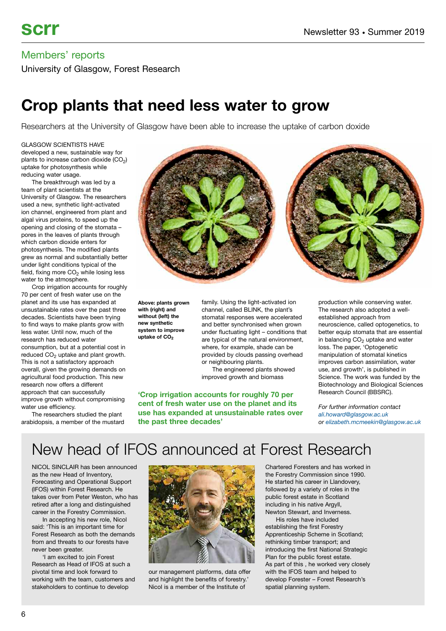University of Glasgow, Forest Research

## **Crop plants that need less water to grow**

Researchers at the University of Glasgow have been able to increase the uptake of carbon doxide

GLASGOW SCIENTISTS HAVE developed a new, sustainable way for plants to increase carbon dioxide  $(CO<sub>2</sub>)$ uptake for photosynthesis while reducing water usage.

The breakthrough was led by a team of plant scientists at the University of Glasgow. The researchers used a new, synthetic light-activated ion channel, engineered from plant and algal virus proteins, to speed up the opening and closing of the stomata – pores in the leaves of plants through which carbon dioxide enters for photosynthesis. The modified plants grew as normal and substantially better under light conditions typical of the field, fixing more  $CO<sub>2</sub>$  while losing less water to the atmosphere.

Crop irrigation accounts for roughly 70 per cent of fresh water use on the planet and its use has expanded at unsustainable rates over the past three decades. Scientists have been trying to find ways to make plants grow with less water. Until now, much of the research has reduced water consumption, but at a potential cost in reduced  $CO<sub>2</sub>$  uptake and plant growth. This is not a satisfactory approach overall, given the growing demands on agricultural food production. This new research now offers a different approach that can successfully improve growth without compromising water use efficiency.

The researchers studied the plant arabidopsis, a member of the mustard



**Above: plants grown with (right) and without (left) the new synthetic system to improve** uptake of CO<sub>2</sub>

family. Using the light-activated ion channel, called BLINK, the plant's stomatal responses were accelerated and better synchronised when grown under fluctuating light – conditions that are typical of the natural environment, where, for example, shade can be provided by clouds passing overhead or neighbouring plants.

The engineered plants showed improved growth and biomass

**'Crop irrigation accounts for roughly 70 per cent of fresh water use on the planet and its use has expanded at unsustainable rates over the past three decades'**

production while conserving water. The research also adopted a wellestablished approach from neuroscience, called optogenetics, to better equip stomata that are essential in balancing  $CO<sub>2</sub>$  uptake and water loss. The paper, 'Optogenetic manipulation of stomatal kinetics improves carbon assimilation, water use, and growth', is published in Science. The work was funded by the Biotechnology and Biological Sciences Research Council (BBSRC).

*For further information contact [ali.howard@glasgow.ac.uk](mailto:ali.howard@glasgow.ac.uk%20) or [elizabeth.mcmeekin@glasgow.ac.uk](mailto:elizabeth.mcmeekin@glasgow.ac.uk)*

# New head of IFOS announced at Forest Research

NICOL SINCLAIR has been announced as the new Head of Inventory, Forecasting and Operational Support (IFOS) within Forest Research. He takes over from Peter Weston, who has retired after a long and distinguished career in the Forestry Commission.

In accepting his new role, Nicol said: 'This is an important time for Forest Research as both the demands from and threats to our forests have never been greater.

'I am excited to join Forest Research as Head of IFOS at such a pivotal time and look forward to working with the team, customers and stakeholders to continue to develop



our management platforms, data offer and highlight the benefits of forestry.' Nicol is a member of the Institute of

Chartered Foresters and has worked in the Forestry Commission since 1990. He started his career in Llandovery, followed by a variety of roles in the public forest estate in Scotland including in his native Argyll, Newton Stewart, and Inverness.

His roles have included establishing the first Forestry Apprenticeship Scheme in Scotland; rethinking timber transport; and introducing the first National Strategic Plan for the public forest estate. As part of this , he worked very closely with the IFOS team and helped to develop Forester – Forest Research's spatial planning system.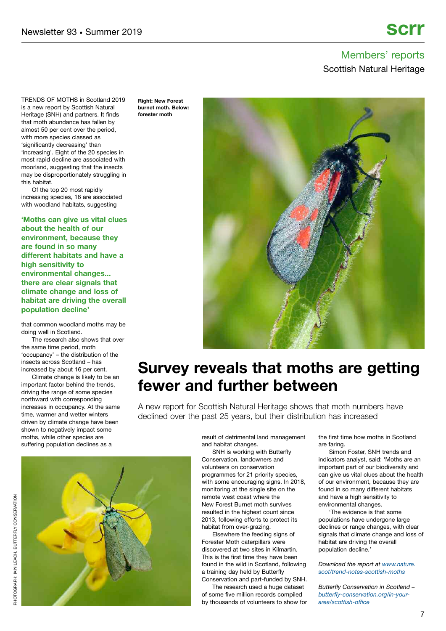### Members' reports Scottish Natural Heritage

TRENDS OF MOTHS in Scotland 2019 is a new report by Scottish Natural Heritage (SNH) and partners. It finds that moth abundance has fallen by almost 50 per cent over the period, with more species classed as 'significantly decreasing' than 'increasing'. Eight of the 20 species in most rapid decline are associated with moorland, suggesting that the insects may be disproportionately struggling in this habitat.

Of the top 20 most rapidly increasing species, 16 are associated with woodland habitats, suggesting

**'Moths can give us vital clues about the health of our environment, because they are found in so many different habitats and have a high sensitivity to environmental changes... there are clear signals that climate change and loss of habitat are driving the overall population decline'**

that common woodland moths may be doing well in Scotland.

The research also shows that over the same time period, moth 'occupancy' – the distribution of the insects across Scotland – has increased by about 16 per cent.

Climate change is likely to be an important factor behind the trends, driving the range of some species northward with corresponding increases in occupancy. At the same time, warmer and wetter winters driven by climate change have been shown to negatively impact some moths, while other species are suffering population declines as a

**Right: New Forest burnet moth. Below: forester moth**



## **Survey reveals that moths are getting fewer and further between**

A new report for Scottish Natural Heritage shows that moth numbers have declined over the past 25 years, but their distribution has increased

> result of detrimental land management and habitat changes.

> SNH is working with Butterfly Conservation, landowners and volunteers on conservation programmes for 21 priority species, with some encouraging signs. In 2018, monitoring at the single site on the remote west coast where the New Forest Burnet moth survives resulted in the highest count since 2013, following efforts to protect its habitat from over-grazing.

Elsewhere the feeding signs of Forester Moth caterpillars were discovered at two sites in Kilmartin. This is the first time they have been found in the wild in Scotland, following a training day held by Butterfly Conservation and part-funded by SNH.

The research used a huge dataset of some five million records compiled by thousands of volunteers to show for the first time how moths in Scotland are faring.

Simon Foster, SNH trends and indicators analyst, said: 'Moths are an important part of our biodiversity and can give us vital clues about the health of our environment, because they are found in so many different habitats and have a high sensitivity to environmental changes.

'The evidence is that some populations have undergone large declines or range changes, with clear signals that climate change and loss of habitat are driving the overall population decline.'

*Download the report at [www.nature.](https://www.nature.scot/trend-notes-scottish-moths) [scot/trend-notes-scottish-moths](https://www.nature.scot/trend-notes-scottish-moths)*

*Butterfly Conservation in Scotland – [butterfly-conservation.org/in-your](https://butterfly-conservation.org/in-your-area/scottish-office)[area/scottish-office](https://butterfly-conservation.org/in-your-area/scottish-office)*

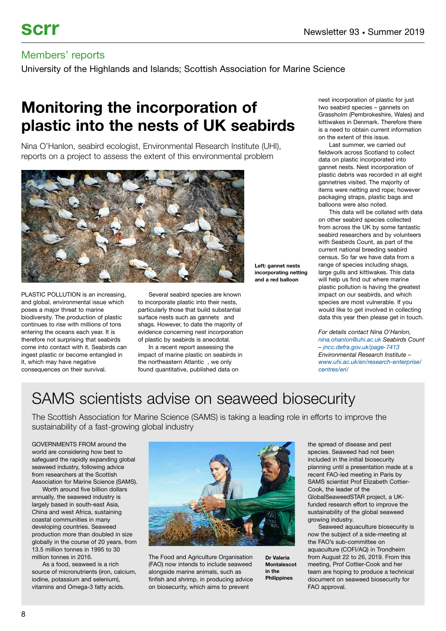University of the Highlands and Islands; Scottish Association for Marine Science

# **Monitoring the incorporation of plastic into the nests of UK seabirds**

Nina O'Hanlon, seabird ecologist, Environmental Research Institute (UHI), reports on a project to assess the extent of this environmental problem



PLASTIC POLLUTION is an increasing, and global, environmental issue which poses a major threat to marine biodiversity. The production of plastic continues to rise with millions of tons entering the oceans each year. It is therefore not surprising that seabirds come into contact with it. Seabirds can ingest plastic or become entangled in it, which may have negative consequences on their survival.

Several seabird species are known to incorporate plastic into their nests, particularly those that build substantial surface nests such as gannets and shags. However, to date the majority of evidence concerning nest incorporation of plastic by seabirds is anecdotal.

In a recent report assessing the impact of marine plastic on seabirds in the northeastern Atlantic , we only found quantitative, published data on

nest incorporation of plastic for just two seabird species – gannets on Grassholm (Pembrokeshire, Wales) and kittiwakes in Denmark. Therefore there is a need to obtain current information on the extent of this issue.

Last summer, we carried out fieldwork across Scotland to collect data on plastic incorporated into gannet nests. Nest incorporation of plastic debris was recorded in all eight gannetries visited. The majority of items were netting and rope; however packaging straps, plastic bags and balloons were also noted.

This data will be collated with data on other seabird species collected from across the UK by some fantastic seabird researchers and by volunteers with Seabirds Count, as part of the current national breeding seabird census. So far we have data from a range of species including shags, large gulls and kittiwakes. This data will help us find out where marine plastic pollution is having the greatest impact on our seabirds, and which species are most vulnerable. If you would like to get involved in collecting data this year then please get in touch.

**Left: gannet nests incorporating netting and a red balloon**

> **Dr Valeria Montalescot in the Philippines**

*For details contact Nina O'Hanlon, [nina.ohanlon@uhi.ac.uk](mailto:nina.ohanlon@uhi.ac.uk) Seabirds Count – [jncc.defra.gov.uk/page-7413](http://jncc.defra.gov.uk/page-7413) Environmental Research Institute – [www.uhi.ac.uk/en/research-enterprise/](https://www.uhi.ac.uk/en/research-enterprise/centres/eri/) [centres/eri/](https://www.uhi.ac.uk/en/research-enterprise/centres/eri/)*

## SAMS scientists advise on seaweed biosecurity

The Scottish Association for Marine Science (SAMS) is taking a leading role in efforts to improve the sustainability of a fast-growing global industry

GOVERNMENTS FROM around the world are considering how best to safeguard the rapidly expanding global seaweed industry, following advice from researchers at the Scottish Association for Marine Science (SAMS).

Worth around five billion dollars annually, the seaweed industry is largely based in south-east Asia, China and west Africa, sustaining coastal communities in many developing countries. Seaweed production more than doubled in size globally in the course of 20 years, from 13.5 million tonnes in 1995 to 30 million tonnes in 2016.

As a food, seaweed is a rich source of micronutrients (iron, calcium, iodine, potassium and selenium), vitamins and Omega-3 fatty acids.



The Food and Agriculture Organisation (FAO) now intends to include seaweed alongside marine animals, such as finfish and shrimp, in producing advice on biosecurity, which aims to prevent

included in the initial biosecurity planning until a presentation made at a recent FAO-led meeting in Paris by SAMS scientist Prof Elizabeth Cottier-Cook, the leader of the GlobalSeaweedSTAR project, a UKfunded research effort to improve the sustainability of the global seaweed growing industry.

the spread of disease and pest species. Seaweed had not been

Seaweed aquaculture biosecurity is now the subject of a side-meeting at the FAO's sub-committee on aquaculture (COFI/AQ) in Trondheim from August 22 to 26, 2019. From this meeting, Prof Cottier-Cook and her team are hoping to produce a technical document on seaweed biosecurity for FAO approval.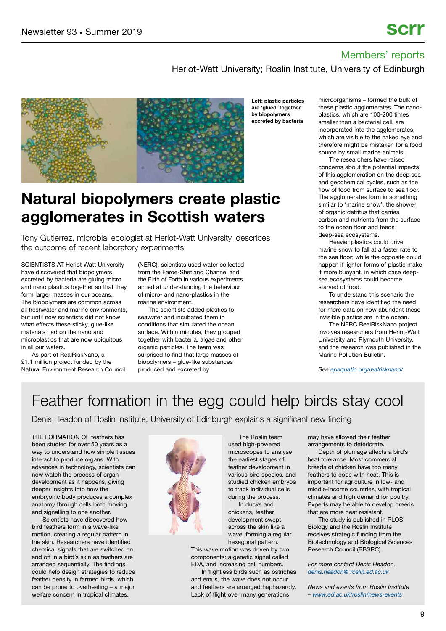Heriot-Watt University; Roslin Institute, University of Edinburgh



## **Natural biopolymers create plastic agglomerates in Scottish waters**

Tony Gutierrez, microbial ecologist at Heriot-Watt University, describes the outcome of recent laboratory experiments

SCIENTISTS AT Heriot Watt University have discovered that biopolymers excreted by bacteria are gluing micro and nano plastics together so that they form larger masses in our oceans. The biopolymers are common across all freshwater and marine environments, but until now scientists did not know what effects these sticky, glue-like materials had on the nano and microplastics that are now ubiquitous in all our waters.

As part of RealRiskNano, a £1.1 million project funded by the Natural Environment Research Council (NERC), scientists used water collected from the Faroe-Shetland Channel and the Firth of Forth in various experiments aimed at understanding the behaviour of micro- and nano-plastics in the marine environment.

The scientists added plastics to seawater and incubated them in conditions that simulated the ocean surface. Within minutes, they grouped together with bacteria, algae and other organic particles. The team was surprised to find that large masses of biopolymers – glue-like substances produced and excreted by

**Left: plastic particles are 'glued' together by biopolymers excreted by bacteria**

microorganisms – formed the bulk of these plastic agglomerates. The nanoplastics, which are 100-200 times smaller than a bacterial cell, are incorporated into the agglomerates, which are visible to the naked eve and therefore might be mistaken for a food source by small marine animals.

The researchers have raised concerns about the potential impacts of this agglomeration on the deep sea and geochemical cycles, such as the flow of food from surface to sea floor. The agglomerates form in something similar to 'marine snow', the shower of organic detritus that carries carbon and nutrients from the surface to the ocean floor and feeds deep-sea ecosystems.

Heavier plastics could drive marine snow to fall at a faster rate to the sea floor; while the opposite could happen if lighter forms of plastic make it more buoyant, in which case deepsea ecosystems could become starved of food.

To understand this scenario the researchers have identified the need for more data on how abundant these invisible plastics are in the ocean.

The NERC RealRiskNano project involves researchers from Heriot-Watt University and Plymouth University, and the research was published in the Marine Pollution Bulletin.

*See [epaquatic.org/realrisknano/](https://epaquatic.org/realrisknano/)*

## Feather formation in the egg could help birds stay cool

Denis Headon of Roslin Institute, University of Edinburgh explains a significant new finding

THE FORMATION OF feathers has been studied for over 50 years as a way to understand how simple tissues interact to produce organs. With advances in technology, scientists can now watch the process of organ development as it happens, giving deeper insights into how the embryonic body produces a complex anatomy through cells both moving and signalling to one another.

Scientists have discovered how bird feathers form in a wave-like motion, creating a regular pattern in the skin. Researchers have identified chemical signals that are switched on and off in a bird's skin as feathers are arranged sequentially. The findings could help design strategies to reduce feather density in farmed birds, which can be prone to overheating – a major welfare concern in tropical climates.



The Roslin team used high-powered microscopes to analyse the earliest stages of feather development in various bird species, and studied chicken embryos to track individual cells during the process. In ducks and chickens, feather development swept across the skin like a wave, forming a regular hexagonal pattern.

This wave motion was driven by two components: a genetic signal called EDA, and increasing cell numbers.

In flightless birds such as ostriches and emus, the wave does not occur and feathers are arranged haphazardly. Lack of flight over many generations

may have allowed their feather arrangements to deteriorate.

Depth of plumage affects a bird's heat tolerance. Most commercial breeds of chicken have too many feathers to cope with heat. This is important for agriculture in low- and middle-income countries, with tropical climates and high demand for poultry. Experts may be able to develop breeds that are more heat resistant.

The study is published in PLOS Biology and the Roslin Institute receives strategic funding from the Biotechnology and Biological Sciences Research Council (BBSRC).

*For more contact Denis Headon, [denis.headon@ roslin.ed.ac.uk](mailto:denis.headon@roslin.ed.ac.uk)*

*News and events from Roslin Institute – [www.ed.ac.uk/roslin/news-events](https://www.ed.ac.uk/roslin/news-events)*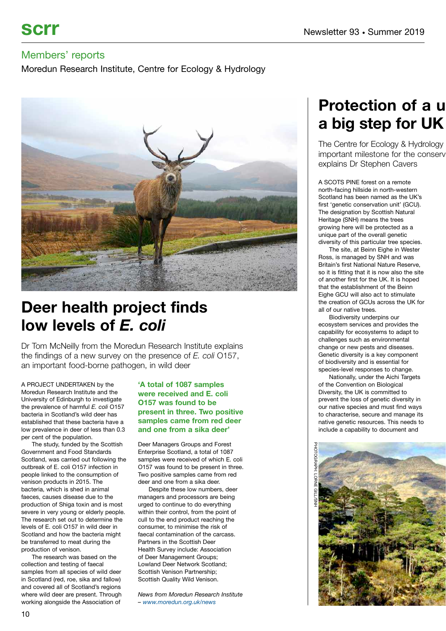Moredun Research Institute, Centre for Ecology & Hydrology



## **Deer health project finds low levels of** *E. coli*

Dr Tom McNeilly from the Moredun Research Institute explains the findings of a new survey on the presence of *E. coli* O157, an important food-borne pathogen, in wild deer

A PROJECT UNDERTAKEN by the Moredun Research Institute and the University of Edinburgh to investigate the prevalence of harmful *E. coli* O157 bacteria in Scotland's wild deer has established that these bacteria have a low prevalence in deer of less than 0.3 per cent of the population.

The study, funded by the Scottish Government and Food Standards Scotland, was carried out following the outbreak of E. coli O157 infection in people linked to the consumption of venison products in 2015. The bacteria, which is shed in animal faeces, causes disease due to the production of Shiga toxin and is most severe in very young or elderly people. The research set out to determine the levels of E. coli O157 in wild deer in Scotland and how the bacteria might be transferred to meat during the production of venison.

The research was based on the collection and testing of faecal samples from all species of wild deer in Scotland (red, roe, sika and fallow) and covered all of Scotland's regions where wild deer are present. Through working alongside the Association of

#### **'A total of 1087 samples were received and E. coli O157 was found to be present in three. Two positive samples came from red deer and one from a sika deer'**

Deer Managers Groups and Forest Enterprise Scotland, a total of 1087 samples were received of which E. coli O157 was found to be present in three. Two positive samples came from red deer and one from a sika deer.

Despite these low numbers, deer managers and processors are being urged to continue to do everything within their control, from the point of cull to the end product reaching the consumer, to minimise the risk of faecal contamination of the carcass. Partners in the Scottish Deer Health Survey include: Association of Deer Management Groups; Lowland Deer Network Scotland; Scottish Venison Partnership; Scottish Quality Wild Venison.

*News from Moredun Research Institute – [www.moredun.org.uk/news](https://www.moredun.org.uk/news)*

# **Protection of a u a big step for UK**

The Centre for Ecology & Hydrology important milestone for the conserv explains Dr Stephen Cavers

A SCOTS PINE forest on a remote north-facing hillside in north-western Scotland has been named as the UK's first 'genetic conservation unit' (GCU). The designation by Scottish Natural Heritage (SNH) means the trees growing here will be protected as a unique part of the overall genetic diversity of this particular tree species.

The site, at Beinn Eighe in Wester Ross, is managed by SNH and was Britain's first National Nature Reserve, so it is fitting that it is now also the site of another first for the UK. It is hoped that the establishment of the Beinn Eighe GCU will also act to stimulate the creation of GCUs across the UK for all of our native trees.

Biodiversity underpins our ecosystem services and provides the capability for ecosystems to adapt to challenges such as environmental change or new pests and diseases. Genetic diversity is a key component of biodiversity and is essential for species-level responses to change.

Nationally, under the Aichi Targets of the Convention on Biological Diversity, the UK is committed to prevent the loss of genetic diversity in our native species and must find ways to characterise, secure and manage its native genetic resources. This needs to include a capability to document and

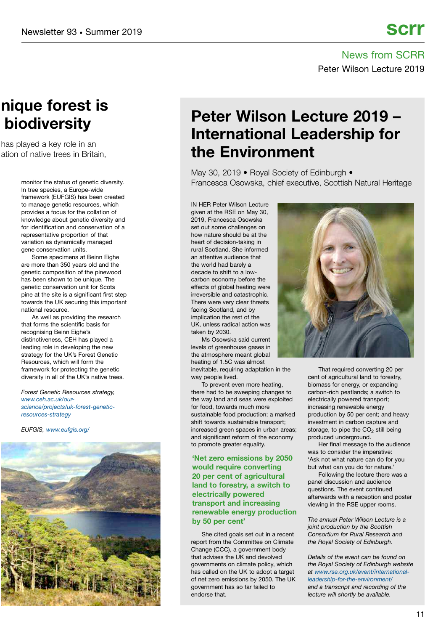News from SCRR Peter Wilson Lecture 2019

## **nique forest is biodiversity**

has played a key role in an ation of native trees in Britain

> In tree species, a Europe-wide framework (EUFGIS) has been created to manage genetic resources, which provides a focus for the collation of knowledge about genetic diversity and for identification and conservation of a representative proportion of that variation as dynamically managed gene conservation units.

Some specimens at Beinn Eighe are more than 350 years old and the genetic composition of the pinewood has been shown to be unique. The genetic conservation unit for Scots pine at the site is a significant first step towards the UK securing this important national resource.

As well as providing the research that forms the scientific basis for recognising Beinn Eighe's distinctiveness, CEH has played a leading role in developing the new strategy for the UK's Forest Genetic Resources, which will form the framework for protecting the genetic diversity in all of the UK's native trees.

*Forest Genetic Resources strategy, [www.ceh.ac.uk/our](https://www.ceh.ac.uk/our-science/projects/uk-forest-genetic-resources-strategy)[science/projects/uk-forest-genetic](https://www.ceh.ac.uk/our-science/projects/uk-forest-genetic-resources-strategy)[resources-strategy](https://www.ceh.ac.uk/our-science/projects/uk-forest-genetic-resources-strategy)*

*EUFGIS, [www.eufgis.org/](http://www.eufgis.org/)*



## **Peter Wilson Lecture 2019 – International Leadership for the Environment**

May 30, 2019 • Royal Society of Edinburgh • monitor the status of genetic diversity. The status of genetic diversity. The Francesca Osowska, chief executive, Scottish Natural Heritage

> IN HER Peter Wilson Lecture given at the RSE on May 30, 2019, Francesca Osowska set out some challenges on how nature should be at the heart of decision-taking in rural Scotland. She informed an attentive audience that the world had barely a decade to shift to a lowcarbon economy before the effects of global heating were irreversible and catastrophic. There were very clear threats facing Scotland, and by implication the rest of the UK, unless radical action was taken by 2030.

> Ms Osowska said current levels of greenhouse gases in the atmosphere meant global heating of 1.5C was almost

inevitable, requiring adaptation in the way people lived.

To prevent even more heating, there had to be sweeping changes to the way land and seas were exploited for food, towards much more sustainable food production; a marked shift towards sustainable transport; increased green spaces in urban areas; and significant reform of the economy to promote greater equality.

#### **'Net zero emissions by 2050 would require converting 20 per cent of agricultural land to forestry, a switch to electrically powered transport and increasing renewable energy production by 50 per cent'**

She cited goals set out in a recent report from the Committee on Climate Change (CCC), a government body that advises the UK and devolved governments on climate policy, which has called on the UK to adopt a target of net zero emissions by 2050. The UK government has so far failed to endorse that.



That required converting 20 per cent of agricultural land to forestry, biomass for energy, or expanding carbon-rich peatlands; a switch to electrically powered transport; increasing renewable energy production by 50 per cent; and heavy investment in carbon capture and storage, to pipe the  $CO<sub>2</sub>$  still being produced underground.

Her final message to the audience was to consider the imperative: 'Ask not what nature can do for you but what can you do for nature.'

Following the lecture there was a panel discussion and audience questions. The event continued afterwards with a reception and poster viewing in the RSE upper rooms.

*The annual Peter Wilson Lecture is a joint production by the Scottish Consortium for Rural Research and the Royal Society of Edinburgh.* 

*Details of the event can be found on the Royal Society of Edinburgh website at [www.rse.org.uk/event/international](https://www.ceh.ac.uk/our-science/projects/uk-forest-genetic-resources-strategy)[leadership-for-the-environment/](https://www.ceh.ac.uk/our-science/projects/uk-forest-genetic-resources-strategy) and a transcript and recording of the lecture will shortly be available.*